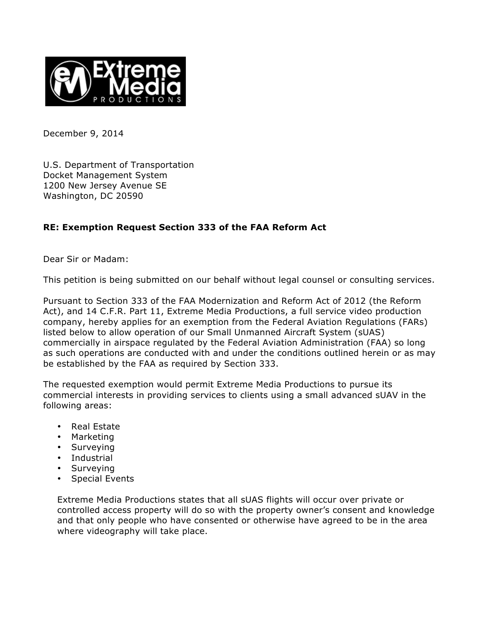

December 9, 2014

U.S. Department of Transportation Docket Management System 1200 New Jersey Avenue SE Washington, DC 20590

# **RE: Exemption Request Section 333 of the FAA Reform Act**

Dear Sir or Madam:

This petition is being submitted on our behalf without legal counsel or consulting services.

Pursuant to Section 333 of the FAA Modernization and Reform Act of 2012 (the Reform Act), and 14 C.F.R. Part 11, Extreme Media Productions, a full service video production company, hereby applies for an exemption from the Federal Aviation Regulations (FARs) listed below to allow operation of our Small Unmanned Aircraft System (sUAS) commercially in airspace regulated by the Federal Aviation Administration (FAA) so long as such operations are conducted with and under the conditions outlined herein or as may be established by the FAA as required by Section 333.

The requested exemption would permit Extreme Media Productions to pursue its commercial interests in providing services to clients using a small advanced sUAV in the following areas:

- Real Estate
- Marketing
- Surveying
- Industrial
- Surveying
- Special Events

Extreme Media Productions states that all sUAS flights will occur over private or controlled access property will do so with the property owner's consent and knowledge and that only people who have consented or otherwise have agreed to be in the area where videography will take place.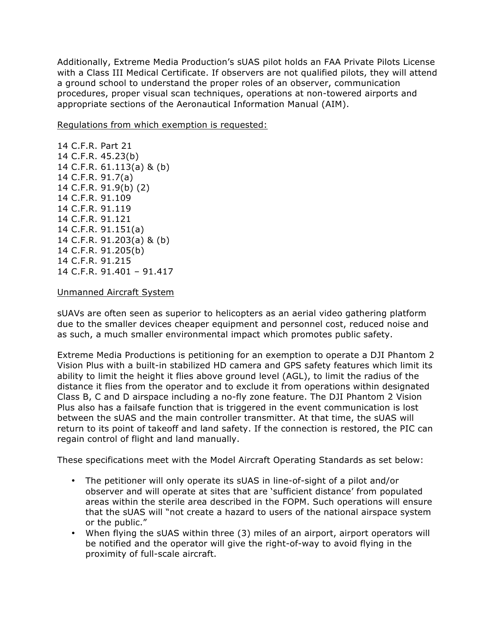Additionally, Extreme Media Production's sUAS pilot holds an FAA Private Pilots License with a Class III Medical Certificate. If observers are not qualified pilots, they will attend a ground school to understand the proper roles of an observer, communication procedures, proper visual scan techniques, operations at non-towered airports and appropriate sections of the Aeronautical Information Manual (AIM).

Regulations from which exemption is requested:

14 C.F.R. Part 21 14 C.F.R. 45.23(b) 14 C.F.R. 61.113(a) & (b) 14 C.F.R. 91.7(a) 14 C.F.R. 91.9(b) (2) 14 C.F.R. 91.109 14 C.F.R. 91.119 14 C.F.R. 91.121 14 C.F.R. 91.151(a) 14 C.F.R. 91.203(a) & (b) 14 C.F.R. 91.205(b) 14 C.F.R. 91.215 14 C.F.R. 91.401 – 91.417

## Unmanned Aircraft System

sUAVs are often seen as superior to helicopters as an aerial video gathering platform due to the smaller devices cheaper equipment and personnel cost, reduced noise and as such, a much smaller environmental impact which promotes public safety.

Extreme Media Productions is petitioning for an exemption to operate a DJI Phantom 2 Vision Plus with a built-in stabilized HD camera and GPS safety features which limit its ability to limit the height it flies above ground level (AGL), to limit the radius of the distance it flies from the operator and to exclude it from operations within designated Class B, C and D airspace including a no-fly zone feature. The DJI Phantom 2 Vision Plus also has a failsafe function that is triggered in the event communication is lost between the sUAS and the main controller transmitter. At that time, the sUAS will return to its point of takeoff and land safety. If the connection is restored, the PIC can regain control of flight and land manually.

These specifications meet with the Model Aircraft Operating Standards as set below:

- The petitioner will only operate its sUAS in line-of-sight of a pilot and/or observer and will operate at sites that are 'sufficient distance' from populated areas within the sterile area described in the FOPM. Such operations will ensure that the sUAS will "not create a hazard to users of the national airspace system or the public."
- When flying the sUAS within three (3) miles of an airport, airport operators will be notified and the operator will give the right-of-way to avoid flying in the proximity of full-scale aircraft.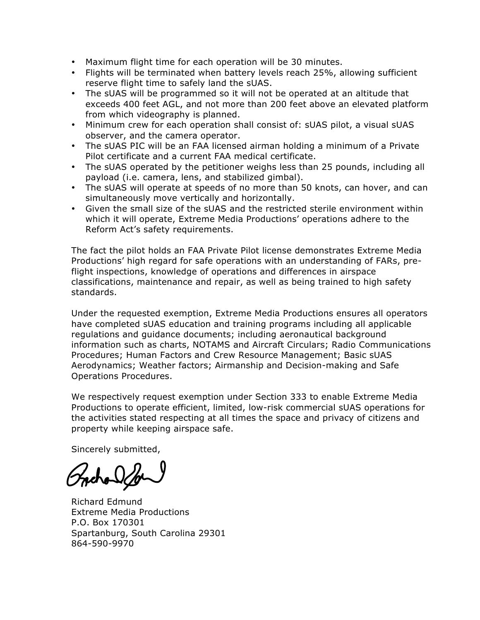- Maximum flight time for each operation will be 30 minutes.
- Flights will be terminated when battery levels reach 25%, allowing sufficient reserve flight time to safely land the sUAS.
- The sUAS will be programmed so it will not be operated at an altitude that exceeds 400 feet AGL, and not more than 200 feet above an elevated platform from which videography is planned.
- Minimum crew for each operation shall consist of: sUAS pilot, a visual sUAS observer, and the camera operator.
- The sUAS PIC will be an FAA licensed airman holding a minimum of a Private Pilot certificate and a current FAA medical certificate.
- The sUAS operated by the petitioner weighs less than 25 pounds, including all payload (i.e. camera, lens, and stabilized gimbal).
- The sUAS will operate at speeds of no more than 50 knots, can hover, and can simultaneously move vertically and horizontally.
- Given the small size of the sUAS and the restricted sterile environment within which it will operate, Extreme Media Productions' operations adhere to the Reform Act's safety requirements.

The fact the pilot holds an FAA Private Pilot license demonstrates Extreme Media Productions' high regard for safe operations with an understanding of FARs, preflight inspections, knowledge of operations and differences in airspace classifications, maintenance and repair, as well as being trained to high safety standards.

Under the requested exemption, Extreme Media Productions ensures all operators have completed sUAS education and training programs including all applicable regulations and guidance documents; including aeronautical background information such as charts, NOTAMS and Aircraft Circulars; Radio Communications Procedures; Human Factors and Crew Resource Management; Basic sUAS Aerodynamics; Weather factors; Airmanship and Decision-making and Safe Operations Procedures.

We respectively request exemption under Section 333 to enable Extreme Media Productions to operate efficient, limited, low-risk commercial sUAS operations for the activities stated respecting at all times the space and privacy of citizens and property while keeping airspace safe.

Sincerely submitted,

Richard Edmund Extreme Media Productions P.O. Box 170301 Spartanburg, South Carolina 29301 864-590-9970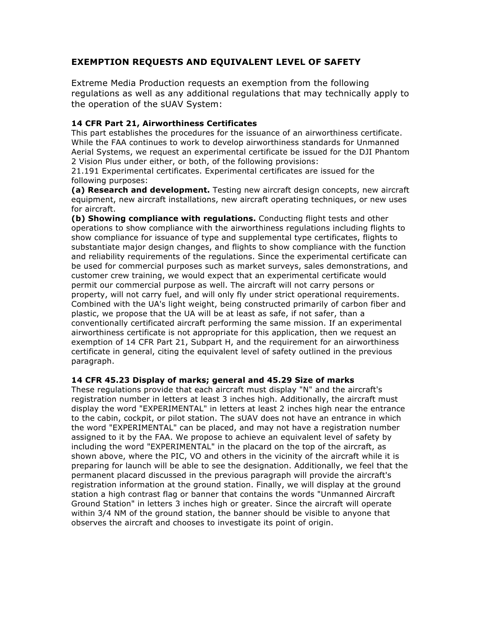## **EXEMPTION REQUESTS AND EQUIVALENT LEVEL OF SAFETY**

Extreme Media Production requests an exemption from the following regulations as well as any additional regulations that may technically apply to the operation of the sUAV System:

## **14 CFR Part 21, Airworthiness Certificates**

This part establishes the procedures for the issuance of an airworthiness certificate. While the FAA continues to work to develop airworthiness standards for Unmanned Aerial Systems, we request an experimental certificate be issued for the DJI Phantom 2 Vision Plus under either, or both, of the following provisions:

21.191 Experimental certificates. Experimental certificates are issued for the following purposes:

**(a) Research and development.** Testing new aircraft design concepts, new aircraft equipment, new aircraft installations, new aircraft operating techniques, or new uses for aircraft.

**(b) Showing compliance with regulations.** Conducting flight tests and other operations to show compliance with the airworthiness regulations including flights to show compliance for issuance of type and supplemental type certificates, flights to substantiate major design changes, and flights to show compliance with the function and reliability requirements of the regulations. Since the experimental certificate can be used for commercial purposes such as market surveys, sales demonstrations, and customer crew training, we would expect that an experimental certificate would permit our commercial purpose as well. The aircraft will not carry persons or property, will not carry fuel, and will only fly under strict operational requirements. Combined with the UA's light weight, being constructed primarily of carbon fiber and plastic, we propose that the UA will be at least as safe, if not safer, than a conventionally certificated aircraft performing the same mission. If an experimental airworthiness certificate is not appropriate for this application, then we request an exemption of 14 CFR Part 21, Subpart H, and the requirement for an airworthiness certificate in general, citing the equivalent level of safety outlined in the previous paragraph.

#### **14 CFR 45.23 Display of marks; general and 45.29 Size of marks**

These regulations provide that each aircraft must display "N" and the aircraft's registration number in letters at least 3 inches high. Additionally, the aircraft must display the word "EXPERIMENTAL" in letters at least 2 inches high near the entrance to the cabin, cockpit, or pilot station. The sUAV does not have an entrance in which the word "EXPERIMENTAL" can be placed, and may not have a registration number assigned to it by the FAA. We propose to achieve an equivalent level of safety by including the word "EXPERIMENTAL" in the placard on the top of the aircraft, as shown above, where the PIC, VO and others in the vicinity of the aircraft while it is preparing for launch will be able to see the designation. Additionally, we feel that the permanent placard discussed in the previous paragraph will provide the aircraft's registration information at the ground station. Finally, we will display at the ground station a high contrast flag or banner that contains the words "Unmanned Aircraft Ground Station" in letters 3 inches high or greater. Since the aircraft will operate within 3/4 NM of the ground station, the banner should be visible to anyone that observes the aircraft and chooses to investigate its point of origin.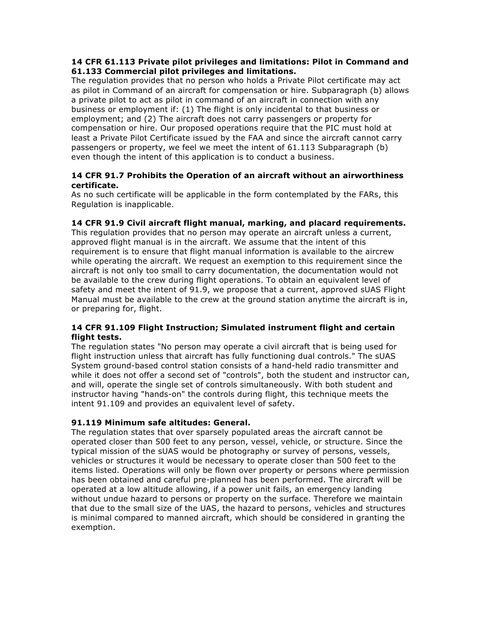## **14 CFR 61.113 Private pilot privileges and limitations: Pilot in Command and 61.133 Commercial pilot privileges and limitations.**

The regulation provides that no person who holds a Private Pilot certificate may act as pilot in Command of an aircraft for compensation or hire. Subparagraph (b) allows a private pilot to act as pilot in command of an aircraft in connection with any business or employment if: (1) The flight is only incidental to that business or employment; and (2) The aircraft does not carry passengers or property for compensation or hire. Our proposed operations require that the PIC must hold at least a Private Pilot Certificate issued by the FAA and since the aircraft cannot carry passengers or property, we feel we meet the intent of 61.113 Subparagraph (b) even though the intent of this application is to conduct a business.

## **14 CFR 91.7 Prohibits the Operation of an aircraft without an airworthiness certificate.**

As no such certificate will be applicable in the form contemplated by the FARs, this Regulation is inapplicable.

## **14 CFR 91.9 Civil aircraft flight manual, marking, and placard requirements.**

This regulation provides that no person may operate an aircraft unless a current, approved flight manual is in the aircraft. We assume that the intent of this requirement is to ensure that flight manual information is available to the aircrew while operating the aircraft. We request an exemption to this requirement since the aircraft is not only too small to carry documentation, the documentation would not be available to the crew during flight operations. To obtain an equivalent level of safety and meet the intent of 91.9, we propose that a current, approved sUAS Flight Manual must be available to the crew at the ground station anytime the aircraft is in, or preparing for, flight.

## **14 CFR 91.109 Flight Instruction; Simulated instrument flight and certain flight tests.**

The regulation states "No person may operate a civil aircraft that is being used for flight instruction unless that aircraft has fully functioning dual controls." The sUAS System ground-based control station consists of a hand-held radio transmitter and while it does not offer a second set of "controls", both the student and instructor can, and will, operate the single set of controls simultaneously. With both student and instructor having "hands-on" the controls during flight, this technique meets the intent 91.109 and provides an equivalent level of safety.

#### **91.119 Minimum safe altitudes: General.**

The regulation states that over sparsely populated areas the aircraft cannot be operated closer than 500 feet to any person, vessel, vehicle, or structure. Since the typical mission of the sUAS would be photography or survey of persons, vessels, vehicles or structures it would be necessary to operate closer than 500 feet to the items listed. Operations will only be flown over property or persons where permission has been obtained and careful pre-planned has been performed. The aircraft will be operated at a low altitude allowing, if a power unit fails, an emergency landing without undue hazard to persons or property on the surface. Therefore we maintain that due to the small size of the UAS, the hazard to persons, vehicles and structures is minimal compared to manned aircraft, which should be considered in granting the exemption.